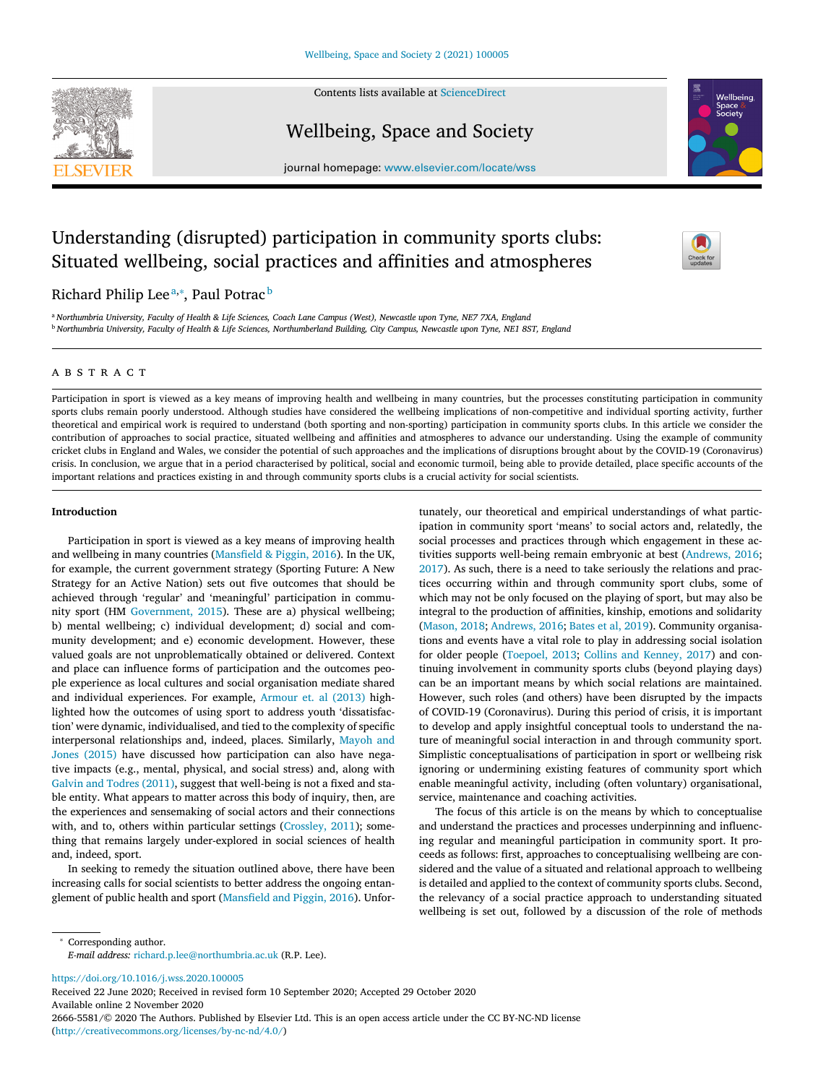

Contents lists available at [ScienceDirect](http://www.ScienceDirect.com)

# Wellbeing, Space and Society



journal homepage: [www.elsevier.com/locate/wss](http://www.elsevier.com/locate/wss)

# Understanding (disrupted) participation in community sports clubs: Situated wellbeing, social practices and affinities and atmospheres

Richard Philip Lee™, Paul Potrac <sup>b</sup>

a Northumbria University, Faculty of Health & Life Sciences, Coach Lane Campus (West), Newcastle upon Tyne, NE7 7XA, England <sup>b</sup> Northumbria University, Faculty of Health & Life Sciences, Northumberland Building, City Campus, Newcastle upon Tyne, NE1 8ST, England

# a b s t r a c t

Participation in sport is viewed as a key means of improving health and wellbeing in many countries, but the processes constituting participation in community sports clubs remain poorly understood. Although studies have considered the wellbeing implications of non-competitive and individual sporting activity, further theoretical and empirical work is required to understand (both sporting and non-sporting) participation in community sports clubs. In this article we consider the contribution of approaches to social practice, situated wellbeing and affinities and atmospheres to advance our understanding. Using the example of community cricket clubs in England and Wales, we consider the potential of such approaches and the implications of disruptions brought about by the COVID-19 (Coronavirus) crisis. In conclusion, we argue that in a period characterised by political, social and economic turmoil, being able to provide detailed, place specific accounts of the important relations and practices existing in and through community sports clubs is a crucial activity for social scientists.

# **Introduction**

Participation in sport is viewed as a key means of improving health and wellbeing in many countries [\(Mansfield](#page-4-0) & Piggin, 2016). In the UK, for example, the current government strategy (Sporting Future: A New Strategy for an Active Nation) sets out five outcomes that should be achieved through 'regular' and 'meaningful' participation in community sport (HM [Government,](#page-4-0) 2015). These are a) physical wellbeing; b) mental wellbeing; c) individual development; d) social and community development; and e) economic development. However, these valued goals are not unproblematically obtained or delivered. Context and place can influence forms of participation and the outcomes people experience as local cultures and social organisation mediate shared and individual experiences. For example, [Armour](#page-4-0) et. al (2013) highlighted how the outcomes of using sport to address youth 'dissatisfaction' were dynamic, individualised, and tied to the complexity of specific [interpersonal](#page-4-0) relationships and, indeed, places. Similarly, Mayoh and Jones (2015) have discussed how participation can also have negative impacts (e.g., mental, physical, and social stress) and, along with Galvin and Todres [\(2011\),](#page-4-0) suggest that well-being is not a fixed and stable entity. What appears to matter across this body of inquiry, then, are the experiences and sensemaking of social actors and their connections with, and to, others within particular settings [\(Crossley,](#page-4-0) 2011); something that remains largely under-explored in social sciences of health and, indeed, sport.

In seeking to remedy the situation outlined above, there have been increasing calls for social scientists to better address the ongoing entanglement of public health and sport [\(Mansfield](#page-4-0) and Piggin, 2016). Unfortunately, our theoretical and empirical understandings of what participation in community sport 'means' to social actors and, relatedly, the social processes and practices through which engagement in these activities supports well-being remain embryonic at best [\(Andrews,](#page-4-0) 2016; [2017\)](#page-4-0). As such, there is a need to take seriously the relations and practices occurring within and through community sport clubs, some of which may not be only focused on the playing of sport, but may also be integral to the production of affinities, kinship, emotions and solidarity [\(Mason,](#page-4-0) 2018; [Andrews,](#page-4-0) 2016; Bates et al, [2019\)](#page-4-0). Community organisations and events have a vital role to play in addressing social isolation for older people [\(Toepoel,](#page-4-0) 2013; Collins and [Kenney,](#page-4-0) 2017) and continuing involvement in community sports clubs (beyond playing days) can be an important means by which social relations are maintained. However, such roles (and others) have been disrupted by the impacts of COVID-19 (Coronavirus). During this period of crisis, it is important to develop and apply insightful conceptual tools to understand the nature of meaningful social interaction in and through community sport. Simplistic conceptualisations of participation in sport or wellbeing risk ignoring or undermining existing features of community sport which enable meaningful activity, including (often voluntary) organisational, service, maintenance and coaching activities.

The focus of this article is on the means by which to conceptualise and understand the practices and processes underpinning and influencing regular and meaningful participation in community sport. It proceeds as follows: first, approaches to conceptualising wellbeing are considered and the value of a situated and relational approach to wellbeing is detailed and applied to the context of community sports clubs. Second, the relevancy of a social practice approach to understanding situated wellbeing is set out, followed by a discussion of the role of methods

<sup>∗</sup> Corresponding author. *E-mail address:* [richard.p.lee@northumbria.ac.uk](mailto:richard.p.lee@northumbria.ac.uk) (R.P. Lee).

<https://doi.org/10.1016/j.wss.2020.100005>

Received 22 June 2020; Received in revised form 10 September 2020; Accepted 29 October 2020 Available online 2 November 2020 2666-5581/© 2020 The Authors. Published by Elsevier Ltd. This is an open access article under the CC BY-NC-ND license [\(http://creativecommons.org/licenses/by-nc-nd/4.0/\)](http://creativecommons.org/licenses/by-nc-nd/4.0/)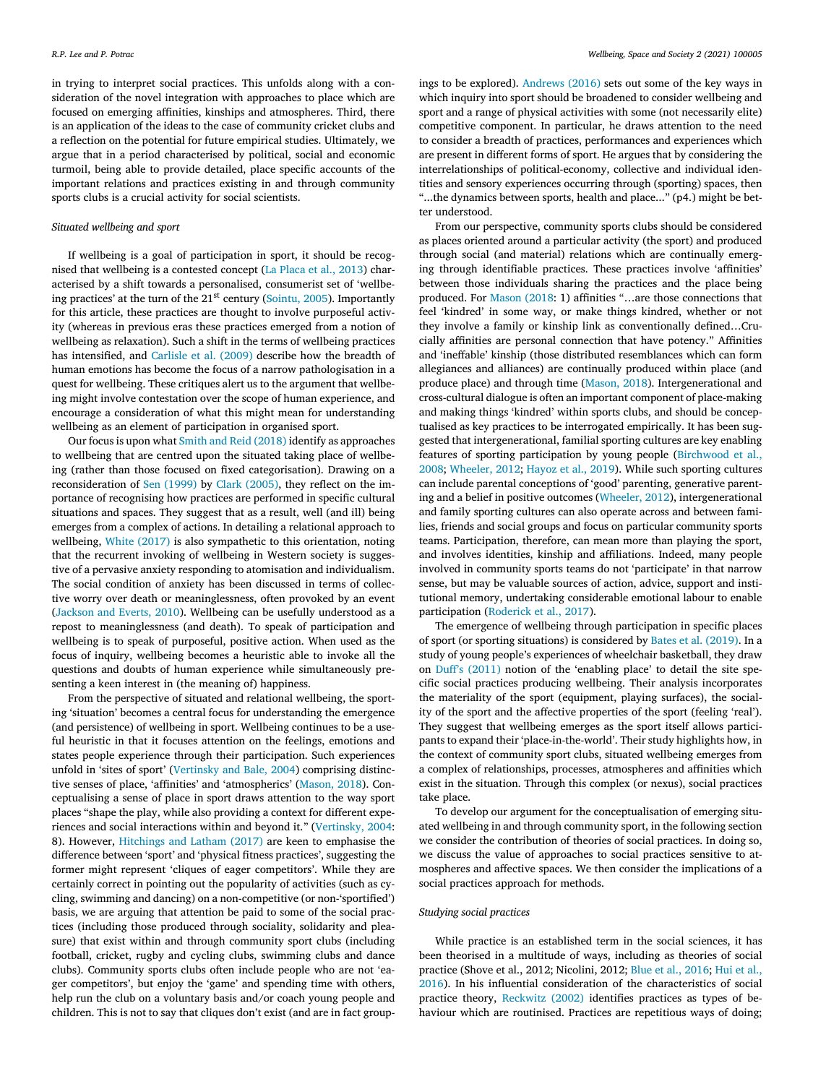in trying to interpret social practices. This unfolds along with a consideration of the novel integration with approaches to place which are focused on emerging affinities, kinships and atmospheres. Third, there is an application of the ideas to the case of community cricket clubs and a reflection on the potential for future empirical studies. Ultimately, we argue that in a period characterised by political, social and economic turmoil, being able to provide detailed, place specific accounts of the important relations and practices existing in and through community sports clubs is a crucial activity for social scientists.

#### *Situated wellbeing and sport*

If wellbeing is a goal of participation in sport, it should be recognised that wellbeing is a contested concept (La Placa et al., [2013\)](#page-4-0) characterised by a shift towards a personalised, consumerist set of 'wellbe-ing practices' at the turn of the 21<sup>st</sup> century [\(Sointu,](#page-4-0) 2005). Importantly for this article, these practices are thought to involve purposeful activity (whereas in previous eras these practices emerged from a notion of wellbeing as relaxation). Such a shift in the terms of wellbeing practices has intensified, and [Carlisle](#page-4-0) et al. (2009) describe how the breadth of human emotions has become the focus of a narrow pathologisation in a quest for wellbeing. These critiques alert us to the argument that wellbeing might involve contestation over the scope of human experience, and encourage a consideration of what this might mean for understanding wellbeing as an element of participation in organised sport.

Our focus is upon what Smith and Reid [\(2018\)](#page-4-0) identify as approaches to wellbeing that are centred upon the situated taking place of wellbeing (rather than those focused on fixed categorisation). Drawing on a reconsideration of Sen [\(1999\)](#page-4-0) by Clark [\(2005\),](#page-4-0) they reflect on the importance of recognising how practices are performed in specific cultural situations and spaces. They suggest that as a result, well (and ill) being emerges from a complex of actions. In detailing a relational approach to wellbeing, White [\(2017\)](#page-4-0) is also sympathetic to this orientation, noting that the recurrent invoking of wellbeing in Western society is suggestive of a pervasive anxiety responding to atomisation and individualism. The social condition of anxiety has been discussed in terms of collective worry over death or meaninglessness, often provoked by an event [\(Jackson](#page-4-0) and Everts, 2010). Wellbeing can be usefully understood as a repost to meaninglessness (and death). To speak of participation and wellbeing is to speak of purposeful, positive action. When used as the focus of inquiry, wellbeing becomes a heuristic able to invoke all the questions and doubts of human experience while simultaneously presenting a keen interest in (the meaning of) happiness.

From the perspective of situated and relational wellbeing, the sporting 'situation' becomes a central focus for understanding the emergence (and persistence) of wellbeing in sport. Wellbeing continues to be a useful heuristic in that it focuses attention on the feelings, emotions and states people experience through their participation. Such experiences unfold in 'sites of sport' [\(Vertinsky](#page-4-0) and Bale, 2004) comprising distinctive senses of place, 'affinities' and 'atmospherics' [\(Mason,](#page-4-0) 2018). Conceptualising a sense of place in sport draws attention to the way sport places "shape the play, while also providing a context for different experiences and social interactions within and beyond it." [\(Vertinsky,](#page-4-0) 2004: 8). However, [Hitchings](#page-4-0) and Latham (2017) are keen to emphasise the difference between 'sport' and 'physical fitness practices', suggesting the former might represent 'cliques of eager competitors'. While they are certainly correct in pointing out the popularity of activities (such as cycling, swimming and dancing) on a non-competitive (or non-'sportified') basis, we are arguing that attention be paid to some of the social practices (including those produced through sociality, solidarity and pleasure) that exist within and through community sport clubs (including football, cricket, rugby and cycling clubs, swimming clubs and dance clubs). Community sports clubs often include people who are not 'eager competitors', but enjoy the 'game' and spending time with others, help run the club on a voluntary basis and/or coach young people and children. This is not to say that cliques don't exist (and are in fact groupings to be explored). [Andrews](#page-4-0) (2016) sets out some of the key ways in which inquiry into sport should be broadened to consider wellbeing and sport and a range of physical activities with some (not necessarily elite) competitive component. In particular, he draws attention to the need to consider a breadth of practices, performances and experiences which are present in different forms of sport. He argues that by considering the interrelationships of political-economy, collective and individual identities and sensory experiences occurring through (sporting) spaces, then "...the dynamics between sports, health and place..." (p4.) might be better understood.

From our perspective, community sports clubs should be considered as places oriented around a particular activity (the sport) and produced through social (and material) relations which are continually emerging through identifiable practices. These practices involve 'affinities' between those individuals sharing the practices and the place being produced. For [Mason](#page-4-0) (2018: 1) affinities "…are those connections that feel 'kindred' in some way, or make things kindred, whether or not they involve a family or kinship link as conventionally defined…Crucially affinities are personal connection that have potency." Affinities and 'ineffable' kinship (those distributed resemblances which can form allegiances and alliances) are continually produced within place (and produce place) and through time [\(Mason,](#page-4-0) 2018). Intergenerational and cross-cultural dialogue is often an important component of place-making and making things 'kindred' within sports clubs, and should be conceptualised as key practices to be interrogated empirically. It has been suggested that intergenerational, familial sporting cultures are key enabling features of sporting [participation](#page-4-0) by young people (Birchwood et al., 2008; [Wheeler,](#page-4-0) 2012; [Hayoz](#page-4-0) et al., 2019). While such sporting cultures can include parental conceptions of 'good' parenting, generative parenting and a belief in positive outcomes [\(Wheeler,](#page-4-0) 2012), intergenerational and family sporting cultures can also operate across and between families, friends and social groups and focus on particular community sports teams. Participation, therefore, can mean more than playing the sport, and involves identities, kinship and affiliations. Indeed, many people involved in community sports teams do not 'participate' in that narrow sense, but may be valuable sources of action, advice, support and institutional memory, undertaking considerable emotional labour to enable participation [\(Roderick](#page-4-0) et al., 2017).

The emergence of wellbeing through participation in specific places of sport (or sporting situations) is considered by Bates et al. [\(2019\).](#page-4-0) In a study of young people's experiences of wheelchair basketball, they draw on Duff's [\(2011\)](#page-4-0) notion of the 'enabling place' to detail the site specific social practices producing wellbeing. Their analysis incorporates the materiality of the sport (equipment, playing surfaces), the sociality of the sport and the affective properties of the sport (feeling 'real'). They suggest that wellbeing emerges as the sport itself allows participants to expand their 'place-in-the-world'. Their study highlights how, in the context of community sport clubs, situated wellbeing emerges from a complex of relationships, processes, atmospheres and affinities which exist in the situation. Through this complex (or nexus), social practices take place.

To develop our argument for the conceptualisation of emerging situated wellbeing in and through community sport, in the following section we consider the contribution of theories of social practices. In doing so, we discuss the value of approaches to social practices sensitive to atmospheres and affective spaces. We then consider the implications of a social practices approach for methods.

#### *Studying social practices*

While practice is an established term in the social sciences, it has been theorised in a multitude of ways, including as theories of social practice (Shove et al., 2012; Nicolini, 2012; Blue et al., [2016;](#page-4-0) Hui et al., 2016). In his influential consideration of the [characteristics](#page-4-0) of social practice theory, [Reckwitz](#page-4-0) (2002) identifies practices as types of behaviour which are routinised. Practices are repetitious ways of doing;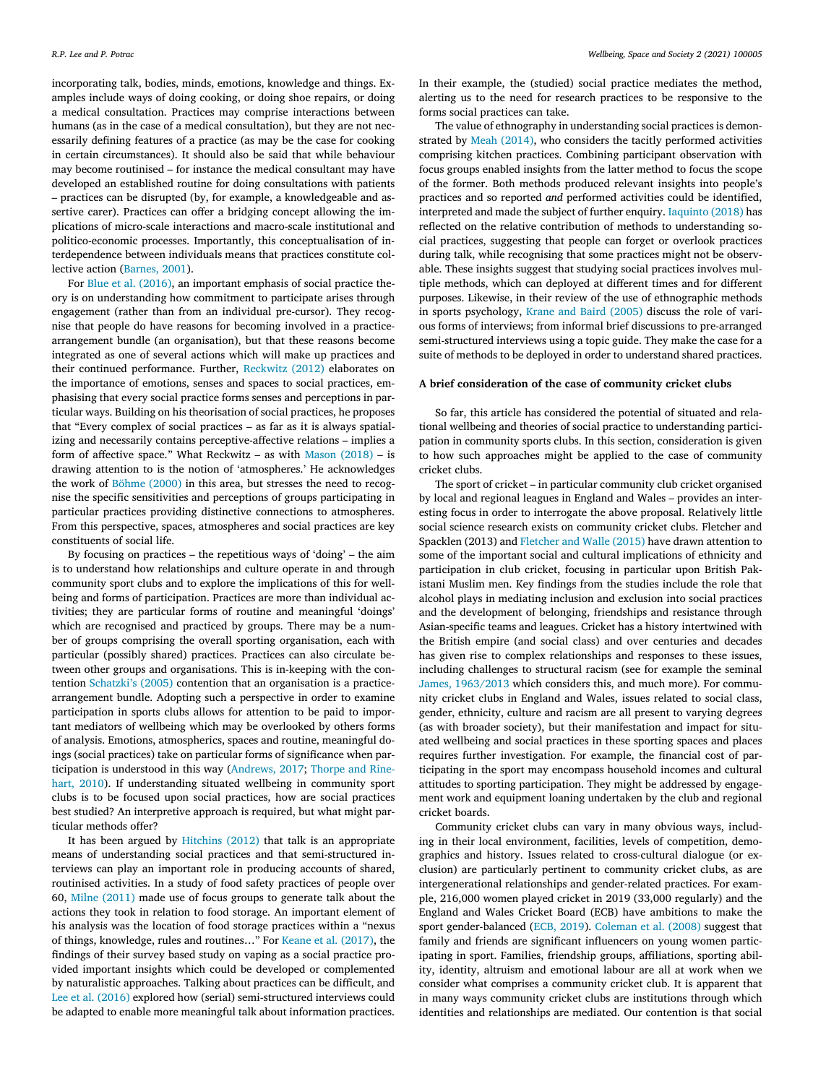incorporating talk, bodies, minds, emotions, knowledge and things. Examples include ways of doing cooking, or doing shoe repairs, or doing a medical consultation. Practices may comprise interactions between humans (as in the case of a medical consultation), but they are not necessarily defining features of a practice (as may be the case for cooking in certain circumstances). It should also be said that while behaviour may become routinised – for instance the medical consultant may have developed an established routine for doing consultations with patients – practices can be disrupted (by, for example, a knowledgeable and assertive carer). Practices can offer a bridging concept allowing the implications of micro-scale interactions and macro-scale institutional and politico-economic processes. Importantly, this conceptualisation of interdependence between individuals means that practices constitute collective action [\(Barnes,](#page-4-0) 2001).

For Blue et al. [\(2016\),](#page-4-0) an important emphasis of social practice theory is on understanding how commitment to participate arises through engagement (rather than from an individual pre-cursor). They recognise that people do have reasons for becoming involved in a practicearrangement bundle (an organisation), but that these reasons become integrated as one of several actions which will make up practices and their continued performance. Further, [Reckwitz](#page-4-0) (2012) elaborates on the importance of emotions, senses and spaces to social practices, emphasising that every social practice forms senses and perceptions in particular ways. Building on his theorisation of social practices, he proposes that "Every complex of social practices – as far as it is always spatializing and necessarily contains perceptive-affective relations – implies a form of affective space." What Reckwitz – as with Mason  $(2018)$  – is drawing attention to is the notion of 'atmospheres.' He acknowledges the work of [Böhme](#page-4-0) (2000) in this area, but stresses the need to recognise the specific sensitivities and perceptions of groups participating in particular practices providing distinctive connections to atmospheres. From this perspective, spaces, atmospheres and social practices are key constituents of social life.

By focusing on practices – the repetitious ways of 'doing' – the aim is to understand how relationships and culture operate in and through community sport clubs and to explore the implications of this for wellbeing and forms of participation. Practices are more than individual activities; they are particular forms of routine and meaningful 'doings' which are recognised and practiced by groups. There may be a number of groups comprising the overall sporting organisation, each with particular (possibly shared) practices. Practices can also circulate between other groups and organisations. This is in-keeping with the contention [Schatzki's](#page-4-0) (2005) contention that an organisation is a practicearrangement bundle. Adopting such a perspective in order to examine participation in sports clubs allows for attention to be paid to important mediators of wellbeing which may be overlooked by others forms of analysis. Emotions, atmospherics, spaces and routine, meaningful doings (social practices) take on particular forms of significance when participation is understood in this way [\(Andrews,](#page-4-0) 2017; Thorpe and Rinehart, 2010). If [understanding](#page-4-0) situated wellbeing in community sport clubs is to be focused upon social practices, how are social practices best studied? An interpretive approach is required, but what might particular methods offer?

It has been argued by [Hitchins](#page-4-0) (2012) that talk is an appropriate means of understanding social practices and that semi-structured interviews can play an important role in producing accounts of shared, routinised activities. In a study of food safety practices of people over 60, Milne [\(2011\)](#page-4-0) made use of focus groups to generate talk about the actions they took in relation to food storage. An important element of his analysis was the location of food storage practices within a "nexus of things, knowledge, rules and routines…" For Keane et al. [\(2017\),](#page-4-0) the findings of their survey based study on vaping as a social practice provided important insights which could be developed or complemented by naturalistic approaches. Talking about practices can be difficult, and Lee et al. [\(2016\)](#page-4-0) explored how (serial) semi-structured interviews could be adapted to enable more meaningful talk about information practices.

In their example, the (studied) social practice mediates the method, alerting us to the need for research practices to be responsive to the forms social practices can take.

The value of ethnography in understanding social practices is demonstrated by Meah [\(2014\),](#page-4-0) who considers the tacitly performed activities comprising kitchen practices. Combining participant observation with focus groups enabled insights from the latter method to focus the scope of the former. Both methods produced relevant insights into people's practices and so reported *and* performed activities could be identified, interpreted and made the subject of further enquiry. [Iaquinto](#page-4-0) (2018) has reflected on the relative contribution of methods to understanding social practices, suggesting that people can forget or overlook practices during talk, while recognising that some practices might not be observable. These insights suggest that studying social practices involves multiple methods, which can deployed at different times and for different purposes. Likewise, in their review of the use of ethnographic methods in sports psychology, Krane and Baird [\(2005\)](#page-4-0) discuss the role of various forms of interviews; from informal brief discussions to pre-arranged semi-structured interviews using a topic guide. They make the case for a suite of methods to be deployed in order to understand shared practices.

### **A brief consideration of the case of community cricket clubs**

So far, this article has considered the potential of situated and relational wellbeing and theories of social practice to understanding participation in community sports clubs. In this section, consideration is given to how such approaches might be applied to the case of community cricket clubs.

The sport of cricket – in particular community club cricket organised by local and regional leagues in England and Wales – provides an interesting focus in order to interrogate the above proposal. Relatively little social science research exists on community cricket clubs. Fletcher and Spacklen (2013) and [Fletcher](#page-4-0) and Walle (2015) have drawn attention to some of the important social and cultural implications of ethnicity and participation in club cricket, focusing in particular upon British Pakistani Muslim men. Key findings from the studies include the role that alcohol plays in mediating inclusion and exclusion into social practices and the development of belonging, friendships and resistance through Asian-specific teams and leagues. Cricket has a history intertwined with the British empire (and social class) and over centuries and decades has given rise to complex relationships and responses to these issues, including challenges to structural racism (see for example the seminal James, [1963/2013](#page-4-0) which considers this, and much more). For community cricket clubs in England and Wales, issues related to social class, gender, ethnicity, culture and racism are all present to varying degrees (as with broader society), but their manifestation and impact for situated wellbeing and social practices in these sporting spaces and places requires further investigation. For example, the financial cost of participating in the sport may encompass household incomes and cultural attitudes to sporting participation. They might be addressed by engagement work and equipment loaning undertaken by the club and regional cricket boards.

Community cricket clubs can vary in many obvious ways, including in their local environment, facilities, levels of competition, demographics and history. Issues related to cross-cultural dialogue (or exclusion) are particularly pertinent to community cricket clubs, as are intergenerational relationships and gender-related practices. For example, 216,000 women played cricket in 2019 (33,000 regularly) and the England and Wales Cricket Board (ECB) have ambitions to make the sport gender-balanced (ECB, [2019\)](#page-4-0). [Coleman](#page-4-0) et al. (2008) suggest that family and friends are significant influencers on young women participating in sport. Families, friendship groups, affiliations, sporting ability, identity, altruism and emotional labour are all at work when we consider what comprises a community cricket club. It is apparent that in many ways community cricket clubs are institutions through which identities and relationships are mediated. Our contention is that social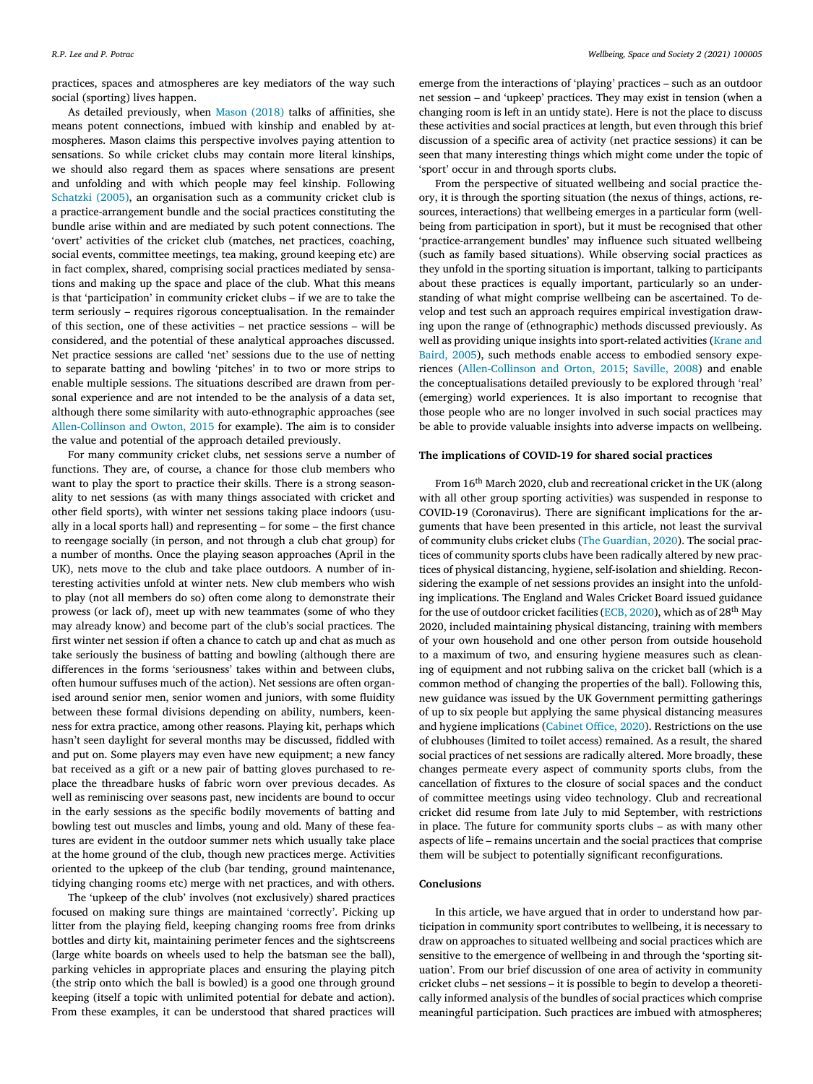practices, spaces and atmospheres are key mediators of the way such social (sporting) lives happen.

As detailed previously, when Mason [\(2018\)](#page-4-0) talks of affinities, she means potent connections, imbued with kinship and enabled by atmospheres. Mason claims this perspective involves paying attention to sensations. So while cricket clubs may contain more literal kinships, we should also regard them as spaces where sensations are present and unfolding and with which people may feel kinship. Following [Schatzki](#page-4-0) (2005), an organisation such as a community cricket club is a practice-arrangement bundle and the social practices constituting the bundle arise within and are mediated by such potent connections. The 'overt' activities of the cricket club (matches, net practices, coaching, social events, committee meetings, tea making, ground keeping etc) are in fact complex, shared, comprising social practices mediated by sensations and making up the space and place of the club. What this means is that 'participation' in community cricket clubs – if we are to take the term seriously – requires rigorous conceptualisation. In the remainder of this section, one of these activities – net practice sessions – will be considered, and the potential of these analytical approaches discussed. Net practice sessions are called 'net' sessions due to the use of netting to separate batting and bowling 'pitches' in to two or more strips to enable multiple sessions. The situations described are drawn from personal experience and are not intended to be the analysis of a data set, although there some similarity with auto-ethnographic approaches (see [Allen-Collinson](#page-4-0) and Owton, 2015 for example). The aim is to consider the value and potential of the approach detailed previously.

For many community cricket clubs, net sessions serve a number of functions. They are, of course, a chance for those club members who want to play the sport to practice their skills. There is a strong seasonality to net sessions (as with many things associated with cricket and other field sports), with winter net sessions taking place indoors (usually in a local sports hall) and representing – for some – the first chance to reengage socially (in person, and not through a club chat group) for a number of months. Once the playing season approaches (April in the UK), nets move to the club and take place outdoors. A number of interesting activities unfold at winter nets. New club members who wish to play (not all members do so) often come along to demonstrate their prowess (or lack of), meet up with new teammates (some of who they may already know) and become part of the club's social practices. The first winter net session if often a chance to catch up and chat as much as take seriously the business of batting and bowling (although there are differences in the forms 'seriousness' takes within and between clubs, often humour suffuses much of the action). Net sessions are often organised around senior men, senior women and juniors, with some fluidity between these formal divisions depending on ability, numbers, keenness for extra practice, among other reasons. Playing kit, perhaps which hasn't seen daylight for several months may be discussed, fiddled with and put on. Some players may even have new equipment; a new fancy bat received as a gift or a new pair of batting gloves purchased to replace the threadbare husks of fabric worn over previous decades. As well as reminiscing over seasons past, new incidents are bound to occur in the early sessions as the specific bodily movements of batting and bowling test out muscles and limbs, young and old. Many of these features are evident in the outdoor summer nets which usually take place at the home ground of the club, though new practices merge. Activities oriented to the upkeep of the club (bar tending, ground maintenance, tidying changing rooms etc) merge with net practices, and with others.

The 'upkeep of the club' involves (not exclusively) shared practices focused on making sure things are maintained 'correctly'. Picking up litter from the playing field, keeping changing rooms free from drinks bottles and dirty kit, maintaining perimeter fences and the sightscreens (large white boards on wheels used to help the batsman see the ball), parking vehicles in appropriate places and ensuring the playing pitch (the strip onto which the ball is bowled) is a good one through ground keeping (itself a topic with unlimited potential for debate and action). From these examples, it can be understood that shared practices will emerge from the interactions of 'playing' practices – such as an outdoor net session – and 'upkeep' practices. They may exist in tension (when a changing room is left in an untidy state). Here is not the place to discuss these activities and social practices at length, but even through this brief discussion of a specific area of activity (net practice sessions) it can be seen that many interesting things which might come under the topic of 'sport' occur in and through sports clubs.

From the perspective of situated wellbeing and social practice theory, it is through the sporting situation (the nexus of things, actions, resources, interactions) that wellbeing emerges in a particular form (wellbeing from participation in sport), but it must be recognised that other 'practice-arrangement bundles' may influence such situated wellbeing (such as family based situations). While observing social practices as they unfold in the sporting situation is important, talking to participants about these practices is equally important, particularly so an understanding of what might comprise wellbeing can be ascertained. To develop and test such an approach requires empirical investigation drawing upon the range of (ethnographic) methods discussed previously. As well as providing unique insights into [sport-related](#page-4-0) activities (Krane and Baird, 2005), such methods enable access to embodied sensory experiences [\(Allen-Collinson](#page-4-0) and Orton, 2015; [Saville,](#page-4-0) 2008) and enable the conceptualisations detailed previously to be explored through 'real' (emerging) world experiences. It is also important to recognise that those people who are no longer involved in such social practices may be able to provide valuable insights into adverse impacts on wellbeing.

# **The implications of COVID-19 for shared social practices**

From 16<sup>th</sup> March 2020, club and recreational cricket in the UK (along with all other group sporting activities) was suspended in response to COVID-19 (Coronavirus). There are significant implications for the arguments that have been presented in this article, not least the survival of community clubs cricket clubs (The [Guardian,](#page-4-0) 2020). The social practices of community sports clubs have been radically altered by new practices of physical distancing, hygiene, self-isolation and shielding. Reconsidering the example of net sessions provides an insight into the unfolding implications. The England and Wales Cricket Board issued guidance for the use of outdoor cricket facilities (ECB, [2020\)](#page-4-0), which as of  $28<sup>th</sup>$  May 2020, included maintaining physical distancing, training with members of your own household and one other person from outside household to a maximum of two, and ensuring hygiene measures such as cleaning of equipment and not rubbing saliva on the cricket ball (which is a common method of changing the properties of the ball). Following this, new guidance was issued by the UK Government permitting gatherings of up to six people but applying the same physical distancing measures and hygiene implications [\(Cabinet](#page-4-0) Office, 2020). Restrictions on the use of clubhouses (limited to toilet access) remained. As a result, the shared social practices of net sessions are radically altered. More broadly, these changes permeate every aspect of community sports clubs, from the cancellation of fixtures to the closure of social spaces and the conduct of committee meetings using video technology. Club and recreational cricket did resume from late July to mid September, with restrictions in place. The future for community sports clubs – as with many other aspects of life – remains uncertain and the social practices that comprise them will be subject to potentially significant reconfigurations.

#### **Conclusions**

In this article, we have argued that in order to understand how participation in community sport contributes to wellbeing, it is necessary to draw on approaches to situated wellbeing and social practices which are sensitive to the emergence of wellbeing in and through the 'sporting situation'. From our brief discussion of one area of activity in community cricket clubs – net sessions – it is possible to begin to develop a theoretically informed analysis of the bundles of social practices which comprise meaningful participation. Such practices are imbued with atmospheres;